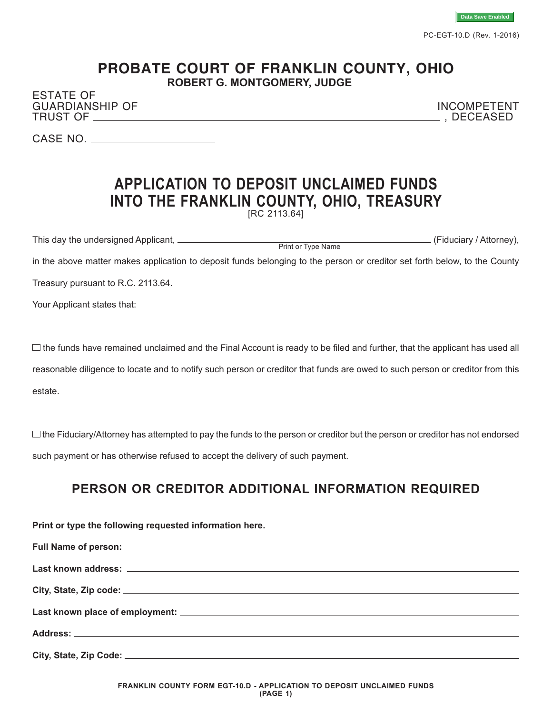

PC-EGT-10.D (Rev. 1-2016)

## **PROBATE COURT OF FRANKLIN COUNTY, OHIO ROBERT G. MONTGOMERY, JUDGE**

ESTATE OF GUARDIANSHIP OF INCOMPETENT TRUST OF  $\_\_\_\_\_\_\_\_\_\_\_\_$ 

CASE NO.

## **APPLICATION TO DEPOSIT UNCLAIMED FUNDS INTO THE FRANKLIN COUNTY, OHIO, TREASURY** [RC 2113.64]

This day the undersigned Applicant, <u>expression of the second of the second of the second (Fiduciary / Attorney),</u> in the above matter makes application to deposit funds belonging to the person or creditor set forth below, to the County Print or Type Name

Treasury pursuant to R.C. 2113.64.

Your Applicant states that:

 $\Box$  the funds have remained unclaimed and the Final Account is ready to be filed and further, that the applicant has used all reasonable diligence to locate and to notify such person or creditor that funds are owed to such person or creditor from this estate.

 $\Box$  the Fiduciary/Attorney has attempted to pay the funds to the person or creditor but the person or creditor has not endorsed such payment or has otherwise refused to accept the delivery of such payment.

## **PERSON OR CREDITOR ADDITIONAL INFORMATION REQUIRED**

| Print or type the following requested information here. |  |  |  |
|---------------------------------------------------------|--|--|--|
|                                                         |  |  |  |
|                                                         |  |  |  |
|                                                         |  |  |  |
|                                                         |  |  |  |
|                                                         |  |  |  |
|                                                         |  |  |  |